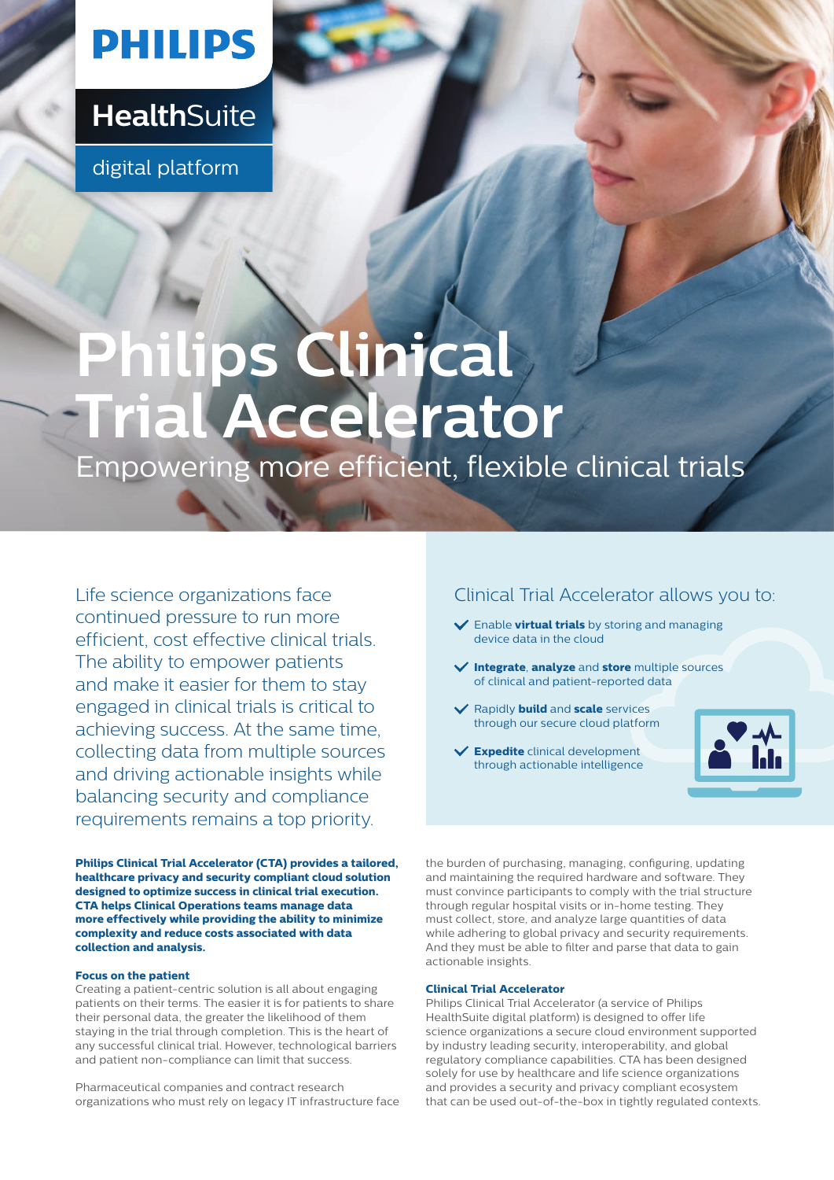## **PHILIPS**

### **Health**Suite

digital platform

# **Philips Clinical Trial Accelerator**

Empowering more efficient, flexible clinical trials

Life science organizations face continued pressure to run more efficient, cost effective clinical trials. The ability to empower patients and make it easier for them to stay engaged in clinical trials is critical to achieving success. At the same time, collecting data from multiple sources and driving actionable insights while balancing security and compliance requirements remains a top priority.

**Philips Clinical Trial Accelerator (CTA) provides a tailored, healthcare privacy and security compliant cloud solution designed to optimize success in clinical trial execution. CTA helps Clinical Operations teams manage data more effectively while providing the ability to minimize complexity and reduce costs associated with data collection and analysis.** 

#### **Focus on the patient**

Creating a patient-centric solution is all about engaging patients on their terms. The easier it is for patients to share their personal data, the greater the likelihood of them staying in the trial through completion. This is the heart of any successful clinical trial. However, technological barriers and patient non-compliance can limit that success.

Pharmaceutical companies and contract research organizations who must rely on legacy IT infrastructure face

#### Clinical Trial Accelerator allows you to:

- Enable **virtual trials** by storing and managing device data in the cloud
- **Integrate**, **analyze** and **store** multiple sources of clinical and patient-reported data
- Rapidly **build** and **scale** services through our secure cloud platform



**Expedite** clinical development through actionable intelligence

the burden of purchasing, managing, configuring, updating and maintaining the required hardware and software. They must convince participants to comply with the trial structure through regular hospital visits or in-home testing. They must collect, store, and analyze large quantities of data while adhering to global privacy and security requirements. And they must be able to filter and parse that data to gain actionable insights.

#### **Clinical Trial Accelerator**

Philips Clinical Trial Accelerator (a service of Philips HealthSuite digital platform) is designed to offer life science organizations a secure cloud environment supported by industry leading security, interoperability, and global regulatory compliance capabilities. CTA has been designed solely for use by healthcare and life science organizations and provides a security and privacy compliant ecosystem that can be used out-of-the-box in tightly regulated contexts.